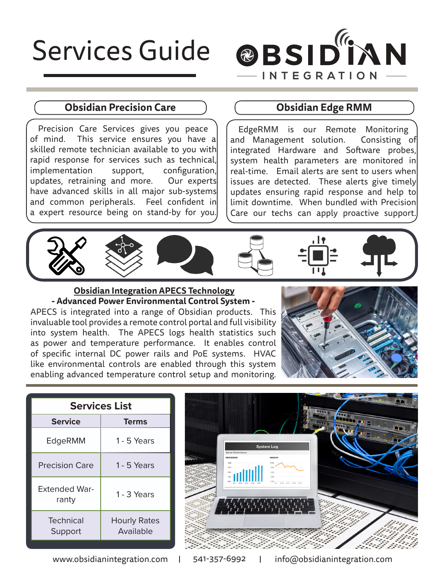# Services Guide



### **Obsidian Precision Care Care Care Considian Edge RMM**

Precision Care Services gives you peace of mind. This service ensures you have a skilled remote technician available to you with rapid response for services such as technical, implementation support, configuration, updates, retraining and more. Our experts have advanced skills in all major sub-systems and common peripherals. Feel confident in a expert resource being on stand-by for you.

EdgeRMM is our Remote Monitoring and Management solution. Consisting of integrated Hardware and Software probes, system health parameters are monitored in real-time. Email alerts are sent to users when issues are detected. These alerts give timely updates ensuring rapid response and help to limit downtime. When bundled with Precision Care our techs can apply proactive support.









### **Obsidian Integration APECS Technology - Advanced Power Environmental Control System -** APECS is integrated into a range of Obsidian products. This invaluable tool provides a remote control portal and full visibility into system health. The APECS logs health statistics such as power and temperature performance. It enables control of specific internal DC power rails and PoE systems. HVAC like environmental controls are enabled through this system enabling advanced temperature control setup and monitoring.



| <b>Services List</b>          |                                  |  |  |
|-------------------------------|----------------------------------|--|--|
| <b>Service</b>                | <b>Terms</b>                     |  |  |
| EdgeRMM                       | 1 - 5 Years                      |  |  |
| <b>Precision Care</b>         | 1 - 5 Years                      |  |  |
| <b>Extended War-</b><br>ranty | 1 - 3 Years                      |  |  |
| <b>Technical</b><br>Support   | <b>Hourly Rates</b><br>Available |  |  |



www.obsidianintegration.com | 541-357-6992 | info@obsidianintegration.com